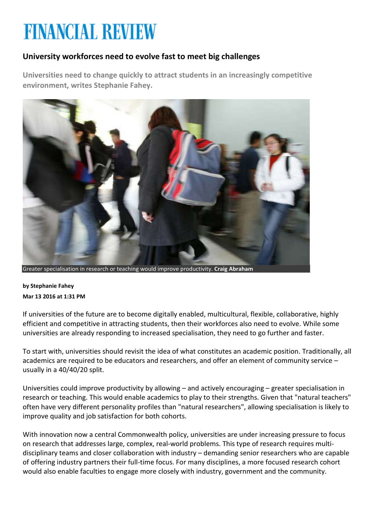# **FINANCIAL REVIEW**

## **University workforces need to evolve fast to meet big challenges**

**Universities need to change quickly to attract students in an increasingly competitive environment, writes Stephanie Fahey.**



Greater specialisation in research or teaching would improve productivity. **Craig Abraham**

**by Stephanie Fahey Mar 13 2016 at 1:31 PM**

If universities of the future are to become digitally enabled, multicultural, flexible, collaborative, highly efficient and competitive in attracting students, then their workforces also need to evolve. While some universities are already responding to increased specialisation, they need to go further and faster.

To start with, universities should revisit the idea of what constitutes an academic position. Traditionally, all academics are required to be educators and researchers, and offer an element of community service – usually in a 40/40/20 split.

Universities could improve productivity by allowing – and actively encouraging – greater specialisation in research or teaching. This would enable academics to play to their strengths. Given that "natural teachers" often have very different personality profiles than "natural researchers", allowing specialisation is likely to improve quality and job satisfaction for both cohorts.

With innovation now a central Commonwealth policy, universities are under increasing pressure to focus on research that addresses large, complex, real-world problems. This type of research requires multidisciplinary teams and closer collaboration with industry – demanding senior researchers who are capable of offering industry partners their full-time focus. For many disciplines, a more focused research cohort would also enable faculties to engage more closely with industry, government and the community.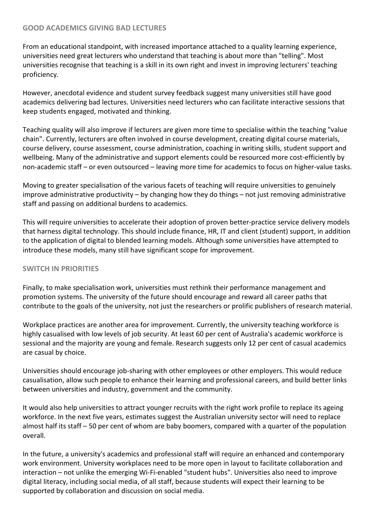#### **GOOD ACADEMICS GIVING BAD LECTURES**

From an educational standpoint, with increased importance attached to a quality learning experience, universities need great lecturers who understand that teaching is about more than "telling". Most universities recognise that teaching is a skill in its own right and invest in improving lecturers' teaching proficiency.

However, anecdotal evidence and student survey feedback suggest many universities still have good academics delivering bad lectures. Universities need lecturers who can facilitate interactive sessions that keep students engaged, motivated and thinking.

Teaching quality will also improve if lecturers are given more time to specialise within the teaching "value chain". Currently, lecturers are often involved in course development, creating digital course materials, course delivery, course assessment, course administration, coaching in writing skills, student support and wellbeing. Many of the administrative and support elements could be resourced more cost-efficiently by non-academic staff – or even outsourced – leaving more time for academics to focus on higher-value tasks.

Moving to greater specialisation of the various facets of teaching will require universities to genuinely improve administrative productivity – by changing how they do things – not just removing administrative staff and passing on additional burdens to academics.

This will require universities to accelerate their adoption of proven better-practice service delivery models that harness digital technology. This should include finance, HR, IT and client (student) support, in addition to the application of digital to blended learning models. Although some universities have attempted to introduce these models, many still have significant scope for improvement.

#### **SWITCH IN PRIORITIES**

Finally, to make specialisation work, universities must rethink their performance management and promotion systems. The university of the future should encourage and reward all career paths that contribute to the goals of the university, not just the researchers or prolific publishers of research material.

Workplace practices are another area for improvement. Currently, the university teaching workforce is highly casualised with low levels of job security. At least 60 per cent of Australia's academic workforce is sessional and the majority are young and female. Research suggests only 12 per cent of casual academics are casual by choice.

Universities should encourage job-sharing with other employees or other employers. This would reduce casualisation, allow such people to enhance their learning and professional careers, and build better links between universities and industry, government and the community.

It would also help universities to attract younger recruits with the right work profile to replace its ageing workforce. In the next five years, estimates suggest the Australian university sector will need to replace almost half its staff – 50 per cent of whom are baby boomers, compared with a quarter of the population overall.

In the future, a university's academics and professional staff will require an enhanced and contemporary work environment. University workplaces need to be more open in layout to facilitate collaboration and interaction – not unlike the emerging Wi-Fi-enabled "student hubs". Universities also need to improve digital literacy, including social media, of all staff, because students will expect their learning to be supported by collaboration and discussion on social media.